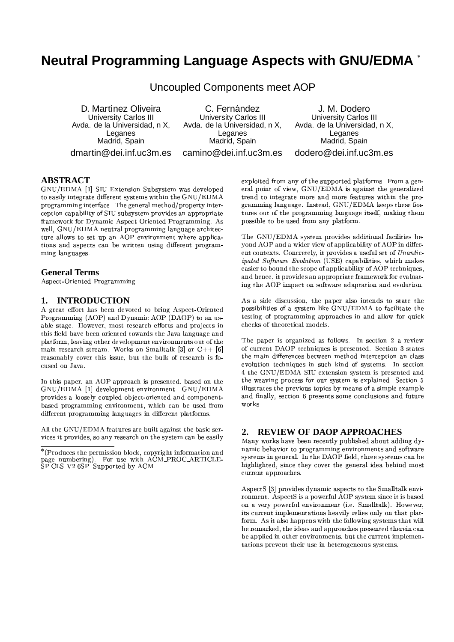# Neutral Programming Language Aspects with GNU/EDMA \*

Uncoupled Components meet AOP D. Martínez Oliveira C. Fernández J. M. Dodero **University Carlos III University Carlos III University Carlos III** Avda. de la Universidad, n X, Avda. de la Universidad, n X, Avda. de la Universidad, n X, Leganes Leganes Leganes Madrid, Spain Madrid, Spain Madrid, Spain dmartin@dei.inf.uc3m.es camino@dei.inf.uc3m.es dodero@dei.inf.uc3m.es

## **ABSTRACT**

GNU/EDMA [1] SIU Extension Subsystem was developed to easily integrate different systems within the GNU/EDMA programming interface. The general method/property interception capability of SIU subsystem provides an appropriate framework for Dynamic Aspect Oriented Programming. As well, GNU/EDMA neutral programming language architecture allows to set up an AOP environment where applications and aspects can be written using different programming languages.

### **General Terms**

Aspect-Oriented Programming

#### **INTRODUCTION** 1.

A great effort has been devoted to bring Aspect-Oriented Programming (AOP) and Dynamic AOP (DAOP) to an usable stage. However, most research efforts and projects in this field have been oriented towards the Java language and platform, leaving other development environments out of the main research stream. Works on Smalltalk [3] or  $C++$  [6] reasonably cover this issue, but the bulk of research is focused on Java.

In this paper, an AOP approach is presented, based on the GNU/EDMA [1] development environment. GNU/EDMA provides a loosely coupled object-oriented and componentbased programming environment, which can be used from different programming languages in different platforms.

All the GNU/EDMA features are built against the basic services it provides, so any research on the system can be easily

exploited from any of the supported platforms. From a general point of view, GNU/EDMA is against the generalized trend to integrate more and more features within the programming language. Instead, GNU/EDMA keeps these features out of the programming language itself, making them possible to be used from any platform.

The GNU/EDMA system provides additional facilities beyond AOP and a wider view of applicability of AOP in different contexts. Concretely, it provides a useful set of Unanticipated Software Evolution (USE) capabilities, which makes easier to bound the scope of applicability of AOP techniques, and hence, it provides an appropriate framework for evaluating the AOP impact on software adaptation and evolution.

As a side discussion, the paper also intends to state the possibilities of a system like GNU/EDMA to facilitate the testing of programming approaches in and allow for quick checks of theoretical models.

The paper is organized as follows. In section 2 a review of current DAOP techniques is presented. Section 3 states the main differences between method interception an class evolution techniques in such kind of systems. In section 4 the GNU/EDMA SIU extension system is presented and the weaving process for our system is explained. Section 5 illustrates the previous topics by means of a simple example and finally, section 6 presents some conclusions and future works.

#### **REVIEW OF DAOP APPROACHES**  $2<sup>1</sup>$

Many works have been recently published about adding dynamic behavior to programming environments and software systems in general. In the DAOP field, three systems can be highlighted, since they cover the general idea behind most current approaches.

AspectS [3] provides dynamic aspects to the Smalltalk environment. AspectS is a powerful AOP system since it is based on a very powerful environment (i.e. Smalltalk). However, its current implementations heavily relies only on that platform. As it also happens with the following systems that will be remarked, the ideas and approaches presented therein can be applied in other environments, but the current implementations prevent their use in heterogeneous systems.

<sup>\*(</sup>Produces the permission block, copyright information and page numbering). For use with ACM\_PROC\_ARTICLE-<br>SP.CLS V2.6SP. Supported by ACM.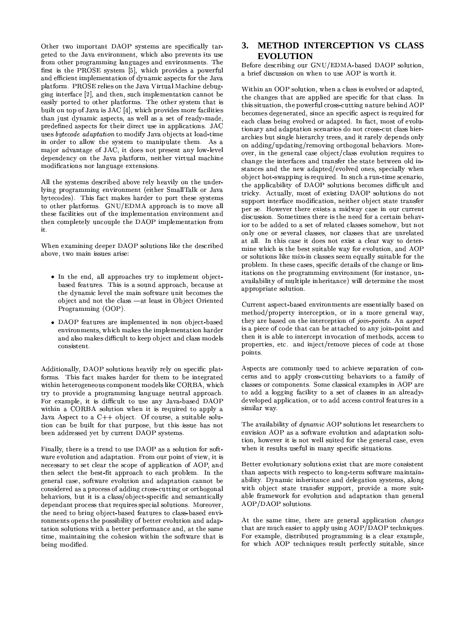Other two important DAOP systems are specifically targeted to the Java environment, which also prevents its use from other programming languages and environments. The first is the PROSE system [5], which provides a powerful and efficient implementation of dynamic aspects for the Java platform. PROSE relies on the Java Virtual Machine debugging interface [2], and then, such implementation cannot be easily ported to other platforms. The other system that is built on top of Java is JAC [4], which provides more facilities than just dynamic aspects, as well as a set of ready-made, predefined aspects for their direct use in applications. JAC uses *bytecode adaptation* to modify Java objects at load-time in order to allow the system to manipulate them. As a major advantage of JAC, it does not present any low-level dependency on the Java platform, neither virtual machine modifications nor language extensions.

All the systems described above rely heavily on the underlying programming environment (either SmallTalk or Java bytecodes). This fact makes harder to port these systems to other platforms. GNU/EDMA approach is to move all these facilities out of the implementation environment and then completely uncouple the DAOP implementation from it.

When examining deeper DAOP solutions like the described above, two main issues arise:

- In the end, all approaches try to implement objectbased features. This is a sound approach, because at the dynamic level the main software unit becomes the object and not the class - at least in Object Oriented Programming (OOP).
- DAOP features are implemented in non object-based environments, which makes the implementation harder and also makes difficult to keep object and class models consistent.

Additionally, DAOP solutions heavily rely on specific platforms. This fact makes harder for them to be integrated within heterogeneous component models like CORBA, which try to provide a programming language neutral approach. For example, it is difficult to use any Java-based DAOP within a CORBA solution when it is required to apply a Java Aspect to a  $C++$  object. Of course, a suitable solution can be built for that purpose, but this issue has not been addressed yet by current DAOP systems.

Finally, there is a trend to use DAOP as a solution for software evolution and adaptation. From our point of view, it is necessary to set clear the scope of application of AOP, and then select the best-fit approach to each problem. In the general case, software evolution and adaptation cannot be considered as a process of adding cross-cutting or orthogonal behaviors, but it is a class/object-specific and semantically dependant process that requires special solutions. Moreover, the need to bring object-based features to class-based environments opens the possibility of better evolution and adaptation solutions with a better performance and, at the same time, maintaining the cohesion within the software that is being modified.

# 3. METHOD INTERCEPTION VS CLASS **EVOLUTION**

Before describing our GNU/EDMA-based DAOP solution, a brief discussion on when to use AOP is worth it.

Within an OOP solution, when a class is evolved or adapted, the changes that are applied are specific for that class. In this situation, the powerful cross-cutting nature behind AOP becomes degenerated, since an specific aspect is required for each class being evolved or adapted. In fact, most of evolutionary and adaptation scenarios do not cross-cut class hierarchies but single hierarchy trees, and it rarely depends only on adding/updating/removing orthogonal behaviors. Moreover, in the general case object/class evolution requires to change the interfaces and transfer the state between old instances and the new adapted/evolved ones, specially when object hot-swapping is required. In such a run-time scenario, the applicability of DAOP solutions becomes difficult and tricky. Actually, most of existing DAOP solutions do not support interface modification, neither object state transfer per se. However there exists a midway case in our current discussion. Sometimes there is the need for a certain behavior to be added to a set of related classes somehow, but not only one or several classes, nor classes that are unrelated at all. In this case it does not exist a clear way to determine which is the best suitable way for evolution, and AOP or solutions like mix-in classes seem equally suitable for the problem. In these cases, specific details of the change or limitations on the programming environment (for instance, unavailability of multiple inheritance) will determine the most appropriate solution.

Current aspect-based environments are essentially based on method/property interception, or in a more general way, they are based on the interception of join-points. An aspect is a piece of code that can be attached to any join-point and then it is able to intercept invocation of methods, access to properties, etc. and inject/remove pieces of code at those points.

Aspects are commonly used to achieve separation of concerns and to apply cross-cutting behaviors to a family of classes or components. Some classical examples in AOP are to add a logging facility to a set of classes in an alreadydeveloped application, or to add access control features in a similar way.

The availability of *dynamic* AOP solutions let researchers to envision AOP as a software evolution and adaptation solution, however it is not well suited for the general case, even when it results useful in many specific situations.

Better evolutionary solutions exist that are more consistent than aspects with respecto to long-term software maintainability. Dynamic inheritance and delegation systems, along with object state transfer support, provide a more suitable framework for evolution and adaptation than general AOP/DAOP solutions.

At the same time, there are general application *changes* that are much easier to apply using AOP/DAOP techniques. For example, distributed programming is a clear example, for which AOP techniques result perfectly suitable, since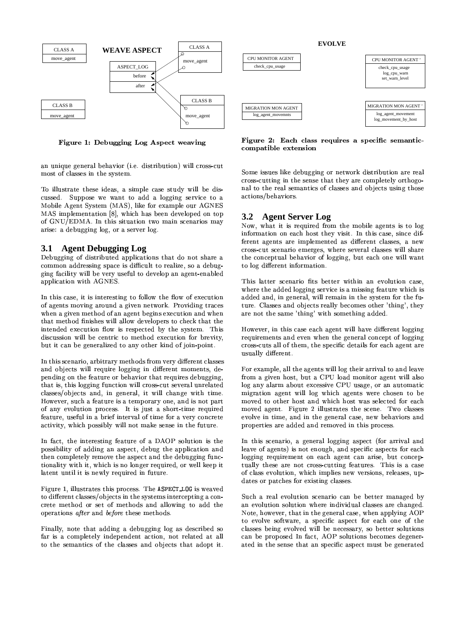

Figure 1: Debugging Log Aspect weaving

an unique general behavior (i.e. distribution) will cross-cut most of classes in the system.

To illustrate these ideas, a simple case study will be discussed. Suppose we want to add a logging service to a Mobile Agent System (MAS), like for example our AGNES MAS implementation [8], which has been developed on top of GNU/EDMA. In this situation two main scenarios may arise: a debugging log, or a server log.

#### **Agent Debugging Log**  $3.1$

Debugging of distributed applications that do not share a common addressing space is difficult to realize, so a debugging facility will be very useful to develop an agent-enabled application with AGNES.

In this case, it is interesting to follow the flow of execution of agents moving around a given network. Providing traces when a given method of an agent begins execution and when that method finishes will allow developers to check that the intended execution flow is respected by the system. This discussion will be centric to method execution for brevity, but it can be generalized to any other kind of join-point.

In this scenario, arbitrary methods from very different classes and objects will require logging in different moments, depending on the feature or behavior that requires debugging, that is, this logging function will cross-cut several unrelated classes/objects and, in general, it will change with time. However, such a feature is a temporary one, and is not part of any evolution process. It is just a short-time required feature, useful in a brief interval of time for a very concrete activity, which possibly will not make sense in the future.

In fact, the interesting feature of a DAOP solution is the possibility of adding an aspect, debug the application and then completely remove the aspect and the debugging functionality with it, which is no longer required, or well keep it latent until it is newly required in future.

Figure 1, illustrates this process. The ASPECT\_LOG is weaved to different classes/objects in the systems intercepting a concrete method or set of methods and allowing to add the operations after and before these methods.

Finally, note that adding a debugging log as described so far is a completely independent action, not related at all to the semantics of the classes and objects that adopt it.

Figure 2: Each class requires a specific semanticcompatible extension

Some issues like debugging or network distribution are real cross-cutting in the sense that they are completely orthogonal to the real semantics of classes and objects using those actions/behaviors.

#### $3.2$ **Agent Server Log**

Now, what it is required from the mobile agents is to log information on each host they visit. In this case, since different agents are implemented as different classes, a new cross-cut scenario emerges, where several classes will share the conceptual behavior of logging, but each one will want to log different information.

This latter scenario fits better within an evolution case, where the added logging service is a missing feature which is added and, in general, will remain in the system for the future. Classes and objects really becomes other 'thing', they are not the same 'thing' with something added.

However, in this case each agent will have different logging requirements and even when the general concept of logging cross-cuts all of them, the specific details for each agent are usually different.

For example, all the agents will log their arrival to and leave from a given host, but a CPU load monitor agent will also log any alarm about excessive CPU usage, or an automatic migration agent will log which agents were chosen to be moved to other host and which host was selected for each moved agent. Figure 2 illustrates the scene. Two classes evolve in time, and in the general case, new behaviors and properties are added and removed in this process.

In this scenario, a general logging aspect (for arrival and leave of agents) is not enough, and specific aspects for each logging requirement on each agent can arise, but conceptually these are not cross-cutting features. This is a case of class evolution, which implies new versions, releases, updates or patches for existing classes.

Such a real evolution scenario can be better managed by an evolution solution where individual classes are changed. Note, however, that in the general case, when applying AOP to evolve software, a specific aspect for each one of the classes being evolved will be necessary, so better solutions can be proposed In fact, AOP solutions becomes degenerated in the sense that an specific aspect must be generated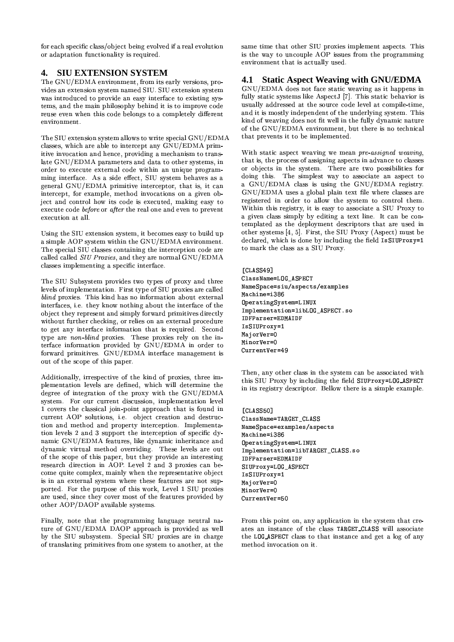for each specific class/object being evolved if a real evolution or adaptation functionality is required.

#### **SIU EXTENSION SYSTEM**  $\mathbf{4}$ .

The GNU/EDMA environment, from its early versions, provides an extension system named SIU. SIU extension system was introduced to provide an easy interface to existing systems, and the main philosophy behind it is to improve code reuse even when this code belongs to a completely different environment.

The SIU extension system allows to write special GNU/EDMA classes, which are able to intercept any GNU/EDMA primitive invocation and hence, providing a mechanism to translate GNU/EDMA parameters and data to other systems, in order to execute external code within an unique programming interface. As a side effect, SIU system behaves as a general GNU/EDMA primitive interceptor, that is, it can intercept, for example, method invocations on a given object and control how its code is executed, making easy to execute code before or after the real one and even to prevent execution at all.

Using the SIU extension system, it becomes easy to build up a simple AOP system within the GNU/EDMA environment. The special SIU classes containing the interception code are called called SIU Proxies, and they are normal GNU/EDMA classes implementing a specific interface.

The SIU Subsystem provides two types of proxy and three levels of implementation. First type of SIU proxies are called blind proxies. This kind has no information about external interfaces, i.e. they know nothing about the interface of the object they represent and simply forward primitives directly without further checking, or relies on an external procedure to get any interface information that is required. Second type are non-blind proxies. These proxies rely on the interface information provided by GNU/EDMA in order to forward primitives. GNU/EDMA interface management is out of the scope of this paper.

Additionally, irrespective of the kind of proxies, three implementation levels are defined, which will determine the degree of integration of the proxy with the GNU/EDMA system. For our current discussion, implementation level 1 covers the classical join-point approach that is found in current AOP solutions, i.e. object creation and destruction and method and property interception. Implementation levels 2 and 3 support the interception of specific dynamic GNU/EDMA features, like dynamic inheritance and dynamic virtual method overriding. These levels are out of the scope of this paper, but they provide an interesting research direction in AOP. Level 2 and 3 proxies can become quite complex, mainly when the representative object is in an external system where these features are not supported. For the purpose of this work, Level 1 SIU proxies are used, since they cover most of the features provided by other AOP/DAOP available systems.

Finally, note that the programming language neutral nature of GNU/EDMA DAOP approach is provided as well by the SIU subsystem. Special SIU proxies are in charge of translating primitives from one system to another, at the

same time that other SIU proxies implement aspects. This is the way to uncouple AOP issues from the programming environment that is actually used.

#### $4.1$ **Static Aspect Weaving with GNU/EDMA**

GNU/EDMA does not face static weaving as it happens in fully static systems like AspectJ [7]. This static behavior is usually addressed at the source code level at compile-time, and it is mostly independent of the underlying system. This kind of weaving does not fit well in the fully dynamic nature of the GNU/EDMA environment, but there is no technical that prevents it to be implemented.

With static aspect weaving we mean pre-assigned weaving, that is, the process of assigning aspects in advance to classes or objects in the system. There are two possibilities for doing this. The simplest way to associate an aspect to a GNU/EDMA class is using the GNU/EDMA registry. GNU/EDMA uses a global plain text file where classes are registered in order to allow the system to control them. Within this registry, it is easy to associate a SIU Proxy to a given class simply by editing a text line. It can be contemplated as the deployment descriptors that are used in other systems [4, 5]. First, the SIU Proxy (Aspect) must be declared, which is done by including the field IsSIUProxy=1 to mark the class as a SIU Proxy.

```
[CLASS49]
ClassName=LOG_ASPECT
NameSpace=siu/aspects/examples
Machine=i386
{\small \texttt{OperatingSystem=LINKUX}}Implementation=libLOG_ASPECT.so
IDFParser=EDMAIDF
IsSIUProxy=1
MajorVer=0
MinorVer=0
CurrentVer=49
```
Then, any other class in the system can be associated with this SIU Proxy by including the field SIUProxy=L0G\_ASPECT in its registry descriptor. Bellow there is a simple example.

[CLASS50] ClassName=TARGET\_CLASS NameSpace=examples/aspects Machine=i386 OperatingSystem=LINUX Implementation=libTARGET\_CLASS.so IDFParser=EDMAIDF SIUProxy=LOG\_ASPECT IsSIUProxy=1 MajorVer=0 MinorVer=0 CurrentVer=50

From this point on, any application in the system that creates an instance of the class TARGET\_CLASS will associate the LOG\_ASPECT class to that instance and get a log of any method invocation on it.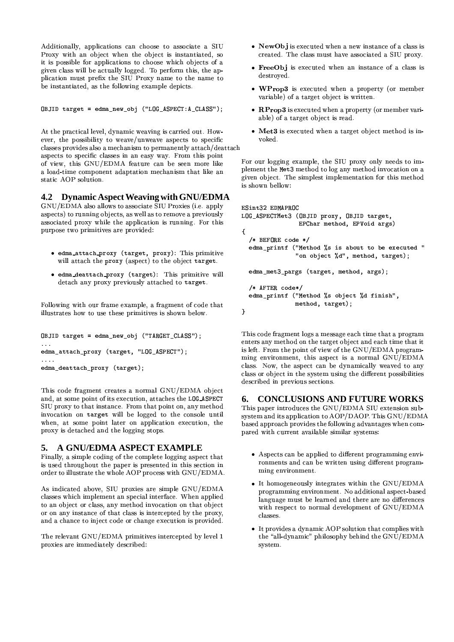Additionally, applications can choose to associate a SIU Proxy with an object when the object is instantiated, so it is possible for applications to choose which objects of a given class will be actually logged. To perform this, the application must prefix the SIU Proxy name to the name to be instantiated, as the following example depicts.

OBJID target = edma\_new\_obj ("LOG\_ASPECT:A\_CLASS");

At the practical level, dynamic weaving is carried out. However, the possibility to weave/unweave aspects to specific classes provides also a mechanism to permanently attach/deattach aspects to specific classes in an easy way. From this point of view, this GNU/EDMA feature can be seen more like a load-time component adaptation mechanism that like an static AOP solution.

## 4.2 Dynamic Aspect Weaving with GNU/EDMA

GNU/EDMA also allows to associate SIU Proxies (i.e. apply aspects) to running objects, as well as to remove a previously associated proxy while the application is running. For this purpose two primitives are provided:

- · edma\_attach\_proxy (target, proxy): This primitive will attach the proxy (aspect) to the object target.
- edma\_deattach\_proxy (target): This primitive will detach any proxy previously attached to target.

Following with our frame example, a fragment of code that illustrates how to use these primitives is shown below.

```
OBJID target = edma_new_obj ("TARGET_CLASS");
edma_attach_proxy (target, "LOG_ASPECT");
\cdotsedma_deattach_proxy (target);
```
This code fragment creates a normal GNU/EDMA object and, at some point of its execution, attaches the LOG\_ASPECT SIU proxy to that instance. From that point on, any method invocation on target will be logged to the console until when, at some point later on application execution, the proxy is detached and the logging stops.

# 5. A GNU/EDMA ASPECT EXAMPLE

Finally, a simple coding of the complete logging aspect that is used throughout the paper is presented in this section in order to illustrate the whole AOP process with GNU/EDMA.

As indicated above, SIU proxies are simple GNU/EDMA classes which implement an special interface. When applied to an object or class, any method invocation on that object or on any instance of that class is intercepted by the proxy, and a chance to inject code or change execution is provided.

The relevant GNU/EDMA primitives intercepted by level 1 proxies are immediately described:

- NewObj is executed when a new instance of a class is created. The class must have associated a SIU proxy.
- FreeObj is executed when an instance of a class is destroyed.
- WProp3 is executed when a property (or member variable) of a target object is written.
- RProp3 is executed when a property (or member variable) of a target object is read.
- · Met3 is executed when a target object method is invoked.

For our logging example, the SIU proxy only needs to implement the Met3 method to log any method invocation on a given object. The simplest implementation for this method is shown bellow:

```
ESint32 EDMAPROC
LOG_ASPECTMet3 (OBJID proxy, OBJID target,
                EPChar method, EPVoid args)
ł
  /* BEFORE code */edma_printf ("Method %s is about to be executed "
               "on object %d", method, target);
  edma_met3_pargs (target, method, args);
  /* AFTER code*/
  edma_printf ("Method %s object %d finish",
               method, target);
\mathcal{Y}
```
This code fragment logs a message each time that a program enters any method on the target object and each time that it is left. From the point of view of the GNU/EDMA programming environment, this aspect is a normal GNU/EDMA class. Now, the aspect can be dynamically weaved to any class or object in the system using the different possibilities described in previous sections.

#### **CONCLUSIONS AND FUTURE WORKS** 6.

This paper introduces the GNU/EDMA SIU extension subsystem and its application to AOP/DAOP. This GNU/EDMA based approach provides the following advantages when compared with current available similar systems:

- Aspects can be applied to different programming environments and can be written using different programming environment.
- It homogeneously integrates within the GNU/EDMA programming environment. No additional aspect-based language must be learned and there are no differences with respect to normal development of GNU/EDMA classes.
- It provides a dynamic AOP solution that complies with the "all-dynamic" philosophy behind the GNU/EDMA system.